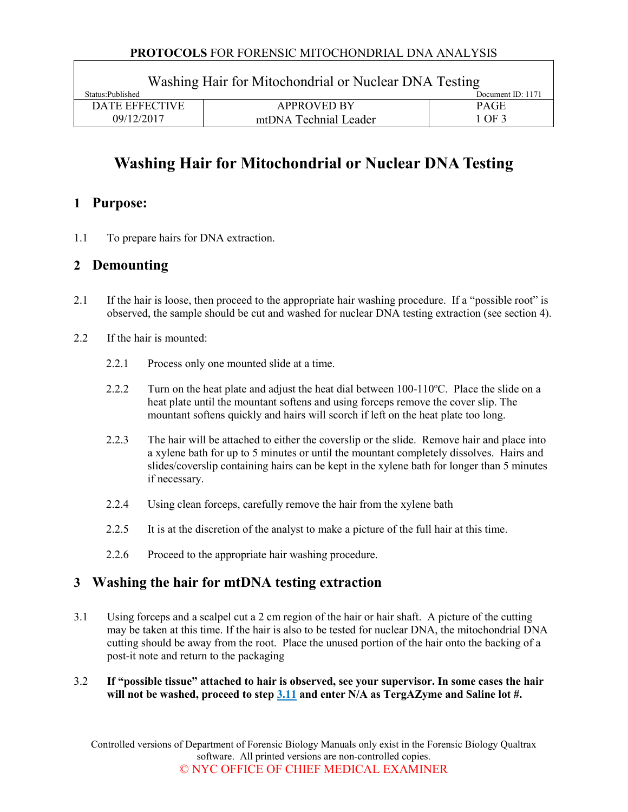#### **PROTOCOLS** FOR FORENSIC MITOCHONDRIAL DNA ANALYSIS

| Washing Hair for Mitochondrial or Nuclear DNA Testing |                       |                   |  |  |
|-------------------------------------------------------|-----------------------|-------------------|--|--|
| Status: Published                                     |                       | Document ID: 1171 |  |  |
| <b>DATE EFFECTIVE</b>                                 | <b>APPROVED BY</b>    | <b>PAGE</b>       |  |  |
| 09/12/2017                                            | mtDNA Technial Leader | 1 OF 3            |  |  |

# **Washing Hair for Mitochondrial or Nuclear DNA Testing**

## **1 Purpose:**

1.1 To prepare hairs for DNA extraction.

## **2 Demounting**

- 2.1 If the hair is loose, then proceed to the appropriate hair washing procedure. If a "possible root" is observed, the sample should be cut and washed for nuclear DNA testing extraction (see section [4\)](#page-1-0).
- 2.2 If the hair is mounted:
	- 2.2.1 Process only one mounted slide at a time.
	- 2.2.2 Turn on the heat plate and adjust the heat dial between  $100-110$ °C. Place the slide on a heat plate until the mountant softens and using forceps remove the cover slip. The mountant softens quickly and hairs will scorch if left on the heat plate too long.
	- 2.2.3 The hair will be attached to either the coverslip or the slide. Remove hair and place into a xylene bath for up to 5 minutes or until the mountant completely dissolves. Hairs and slides/coverslip containing hairs can be kept in the xylene bath for longer than 5 minutes if necessary.
	- 2.2.4 Using clean forceps, carefully remove the hair from the xylene bath
	- 2.2.5 It is at the discretion of the analyst to make a picture of the full hair at this time.
	- 2.2.6 Proceed to the appropriate hair washing procedure.

## **3 Washing the hair for mtDNA testing extraction**

- 3.1 Using forceps and a scalpel cut a 2 cm region of the hair or hair shaft. A picture of the cutting may be taken at this time. If the hair is also to be tested for nuclear DNA, the mitochondrial DNA cutting should be away from the root. Place the unused portion of the hair onto the backing of a post-it note and return to the packaging
- 3.2 **If "possible tissue" attached to hair is observed, see your supervisor. In some cases the hair will not be washed, proceed to step [3.11](#page-1-0) and enter N/A as TergAZyme and Saline lot #.**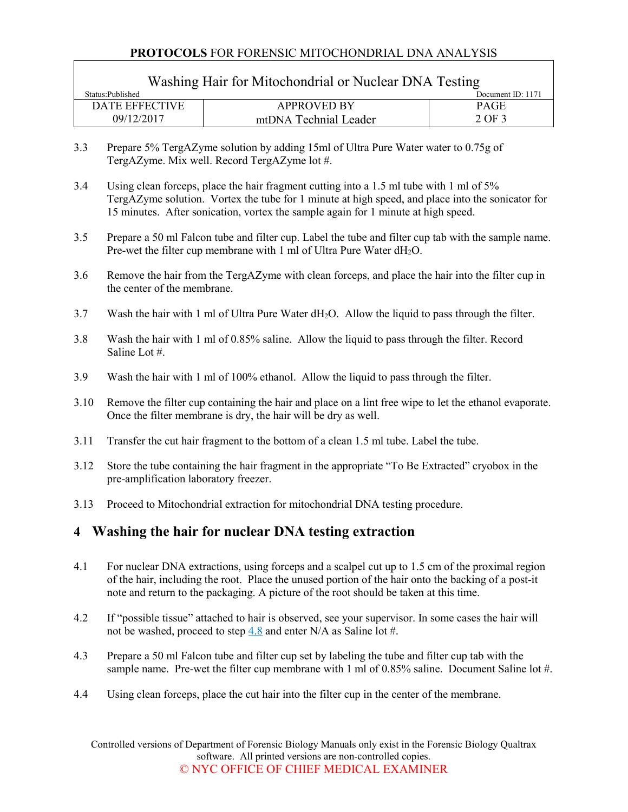#### **PROTOCOLS** FOR FORENSIC MITOCHONDRIAL DNA ANALYSIS

<span id="page-1-0"></span>

| Washing Hair for Mitochondrial or Nuclear DNA Testing |                       |                   |  |  |
|-------------------------------------------------------|-----------------------|-------------------|--|--|
| Status: Published                                     |                       | Document ID: 1171 |  |  |
| <b>DATE EFFECTIVE</b>                                 | <b>APPROVED BY</b>    | <b>PAGE</b>       |  |  |
| 09/12/2017                                            | mtDNA Technial Leader | 2 OF 3            |  |  |

- 3.3 Prepare 5% TergAZyme solution by adding 15ml of Ultra Pure Water water to 0.75g of TergAZyme. Mix well. Record TergAZyme lot #.
- 3.4 Using clean forceps, place the hair fragment cutting into a 1.5 ml tube with 1 ml of 5% TergAZyme solution. Vortex the tube for 1 minute at high speed, and place into the sonicator for 15 minutes. After sonication, vortex the sample again for 1 minute at high speed.
- 3.5 Prepare a 50 ml Falcon tube and filter cup. Label the tube and filter cup tab with the sample name. Pre-wet the filter cup membrane with 1 ml of Ultra Pure Water  $dH_2O$ .
- 3.6 Remove the hair from the TergAZyme with clean forceps, and place the hair into the filter cup in the center of the membrane.
- 3.7 Wash the hair with 1 ml of Ultra Pure Water dH2O. Allow the liquid to pass through the filter.
- 3.8 Wash the hair with 1 ml of 0.85% saline. Allow the liquid to pass through the filter. Record Saline Lot #.
- 3.9 Wash the hair with 1 ml of 100% ethanol. Allow the liquid to pass through the filter.
- 3.10 Remove the filter cup containing the hair and place on a lint free wipe to let the ethanol evaporate. Once the filter membrane is dry, the hair will be dry as well.
- 3.11 Transfer the cut hair fragment to the bottom of a clean 1.5 ml tube. Label the tube.
- 3.12 Store the tube containing the hair fragment in the appropriate "To Be Extracted" cryobox in the pre-amplification laboratory freezer.
- 3.13 Proceed to Mitochondrial extraction for mitochondrial DNA testing procedure.

## **4 Washing the hair for nuclear DNA testing extraction**

- 4.1 For nuclear DNA extractions, using forceps and a scalpel cut up to 1.5 cm of the proximal region of the hair, including the root. Place the unused portion of the hair onto the backing of a post-it note and return to the packaging. A picture of the root should be taken at this time.
- 4.2 If "possible tissue" attached to hair is observed, see your supervisor. In some cases the hair will not be washed, proceed to step [4.8](#page-2-0) and enter N/A as Saline lot #.
- 4.3 Prepare a 50 ml Falcon tube and filter cup set by labeling the tube and filter cup tab with the sample name. Pre-wet the filter cup membrane with 1 ml of 0.85% saline. Document Saline lot #.
- 4.4 Using clean forceps, place the cut hair into the filter cup in the center of the membrane.